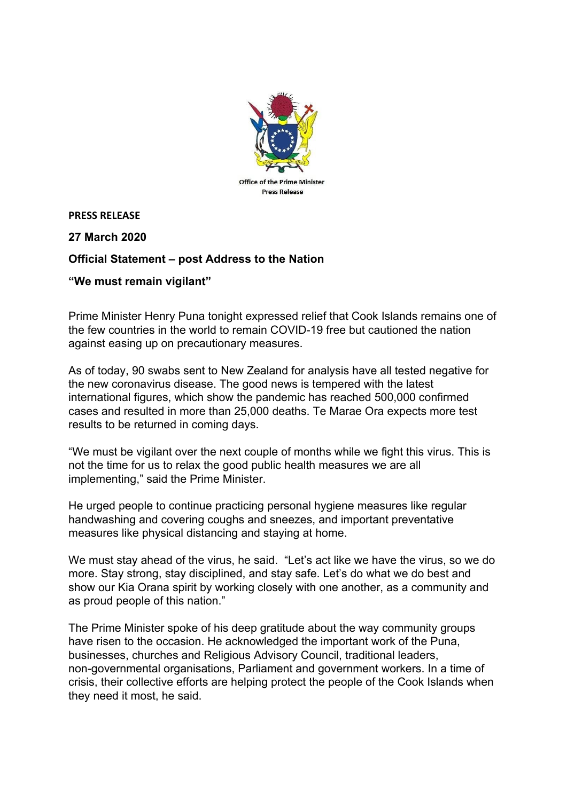

**PRESS RELEASE**

**27 March 2020**

## **Official Statement – post Address to the Nation**

## **"We must remain vigilant"**

Prime Minister Henry Puna tonight expressed relief that Cook Islands remains one of the few countries in the world to remain COVID-19 free but cautioned the nation against easing up on precautionary measures.

As of today, 90 swabs sent to New Zealand for analysis have all tested negative for the new coronavirus disease. The good news is tempered with the latest international figures, which show the pandemic has reached 500,000 confirmed cases and resulted in more than 25,000 deaths. Te Marae Ora expects more test results to be returned in coming days.

"We must be vigilant over the next couple of months while we fight this virus. This is not the time for us to relax the good public health measures we are all implementing," said the Prime Minister.

He urged people to continue practicing personal hygiene measures like regular handwashing and covering coughs and sneezes, and important preventative measures like physical distancing and staying at home.

We must stay ahead of the virus, he said. "Let's act like we have the virus, so we do more. Stay strong, stay disciplined, and stay safe. Let's do what we do best and show our Kia Orana spirit by working closely with one another, as a community and as proud people of this nation."

The Prime Minister spoke of his deep gratitude about the way community groups have risen to the occasion. He acknowledged the important work of the Puna, businesses, churches and Religious Advisory Council, traditional leaders, non-governmental organisations, Parliament and government workers. In a time of crisis, their collective efforts are helping protect the people of the Cook Islands when they need it most, he said.